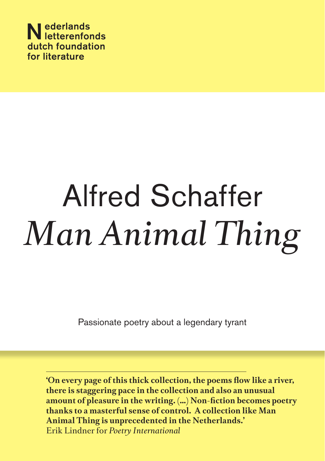

# Alfred Schaffer *Man Animal Thing*

Passionate poetry about a legendary tyrant

**'On every page of this thick collection, the poems flow like a river, there is staggering pace in the collection and also an unusual**  amount of pleasure in the writing. (...) Non-fiction becomes poetry **thanks to a masterful sense of control. A collection like Man Animal Thing is unprecedented in the Netherlands.'** Erik Lindner for *Poetry International*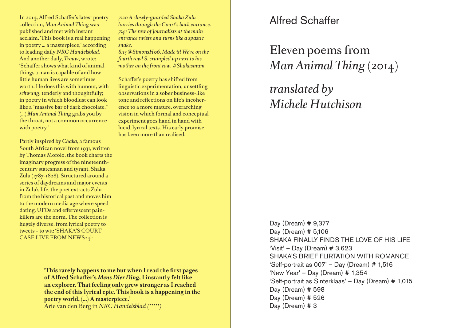In 2014, Alfred Schaffer's latest poetry collection, *Man Animal Thing* was published and met with instant acclaim. 'This book is a real happening in poetry … a masterpiece,' according to leading daily *NRC Handelsblad*. And another daily, *Trouw*, wrote: 'Schaffer shows what kind of animal things a man is capable of and how little human lives are sometimes worth. He does this with humour, with *schwung*, tenderly and thoughtfully; in poetry in which bloodlust can look like a "massive bar of dark chocolate." (…) *Man Animal Thing* grabs you by the throat, not a common occurrence with poetry.'

Partly inspired by *Chaka*, a famous South African novel from 1931, written by Thomas Mofolo, the book charts the imaginary progress of the nineteenthcentury statesman and tyrant, Shaka Zulu (1787-1828). Structured around a series of daydreams and major events in Zulu's life, the poet extracts Zulu from the historical past and moves him to the modern media age where speed dating, UFOs and effervescent painkillers are the norm. The collection is hugely diverse, from lyrical poetry to tweets – to wit: 'SHAKA'S COURT CASE LIVE FROM NEWS24':

*7:20 A closely-guarded Shaka Zulu hurries through the Court's back entrance. 7:41 The row of journalists at the main entrance twists and turns like a spastic snake.*

*8:13 @SimonsH06. Made it! We're on the fourth row! S. crumpled up next to his mother on the front row. #Shakasmum*

Schaffer's poetry has shifted from linguistic experimentation, unsettling observations in a sober business-like tone and reflections on life's incoherence to a more mature, overarching vision in which formal and conceptual experiment goes hand in hand with lucid, lyrical texts. His early promise has been more than realised.

# Alfred Schaffer

Eleven poems from *Man Animal Thing* (2014)

*translated by Michele Hutchison*

Day (Dream) # 9,377 Day (Dream) # 5,106

SHAKA FINALLY FINDS THE LOVE OF HIS LIFE 'Visit' – Day (Dream) # 3,623 SHAKA'S BRIEF FLIRTATION WITH ROMANCE 'Self-portrait as 007' – Day (Dream) # 1,516 'New Year' – Day (Dream)  $# 1,354$ 'Self-portrait as Sinterklaas' – Day (Dream) # 1,015 Day (Dream) # 598 Day (Dream) # 526 Day (Dream) # 3

**This rarely happens to me but when I read the first pages of Alfred Scha er's** *Mens Dier Ding***, I instantly felt like an explorer. That feeling only grew stronger as I reached the end of this lyrical epic. This book is a happening in the poetry world. (…) A masterpiece.'**  Arie van den Berg in *NRC Handelsblad (\*\*\*\*\*)*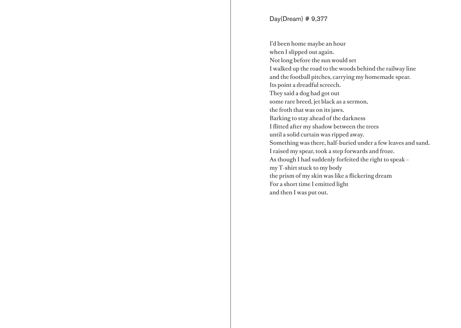I'd been home maybe an hour when I slipped out again. Not long before the sun would set I walked up the road to the woods behind the railway line and the football pitches, carrying my homemade spear. Its point a dreadful screech. They said a dog had got out some rare breed, jet black as a sermon, the froth that was on its jaws. Barking to stay ahead of the darkness I flitted after my shadow between the trees until a solid curtain was ripped away. Something was there, half-buried under a few leaves and sand. I raised my spear, took a step forwards and froze. As though I had suddenly forfeited the right to speak – my T-shirt stuck to my body the prism of my skin was like a flickering dream For a short time I emitted light and then I was put out.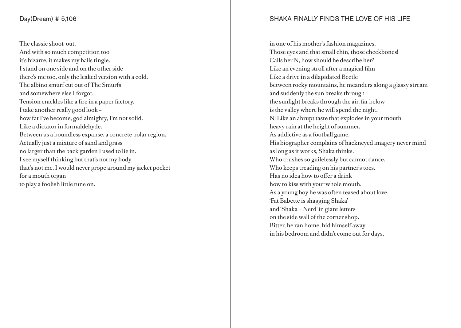#### Day(Dream) # 5,106

The classic shoot-out. And with so much competition too it's bizarre, it makes my balls tingle. I stand on one side and on the other side there's me too, only the leaked version with a cold. The albino smurf cut out of The Smurfs and somewhere else I forgot. Tension crackles like a fire in a paper factory. I take another really good look – how fat I've become, god almighty, I'm not solid. Like a dictator in formaldehyde. Between us a boundless expanse, a concrete polar region. Actually just a mixture of sand and grass no larger than the back garden I used to lie in. I see myself thinking but that's not my body that's not me, I would never grope around my jacket pocket for a mouth organ to play a foolish little tune on.

## SHAKA FINALLY FINDS THE LOVE OF HIS LIFE

in one of his mother's fashion magazines. Those eyes and that small chin, those cheekbones! Calls her N, how should he describe her? Like an evening stroll after a magical film Like a drive in a dilapidated Beetle between rocky mountains, he meanders along a glassy stream and suddenly the sun breaks through the sunlight breaks through the air, far below is the valley where he will spend the night. N! Like an abrupt taste that explodes in your mouth heavy rain at the height of summer. As addictive as a football game. His biographer complains of hackneyed imagery never mind as long as it works, Shaka thinks. Who crushes so guilelessly but cannot dance. Who keeps treading on his partner's toes. Has no idea how to offer a drink how to kiss with your whole mouth. As a young boy he was often teased about love. 'Fat Babette is shagging Shaka' and 'Shaka = Nerd' in giant letters on the side wall of the corner shop. Bitter, he ran home, hid himself away in his bedroom and didn't come out for days.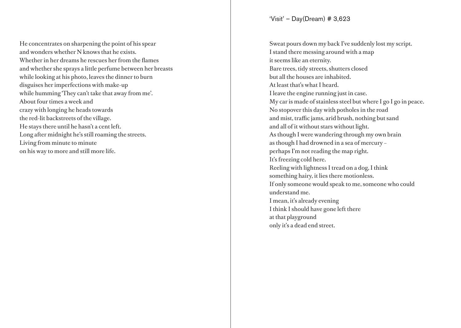He concentrates on sharpening the point of his spear and wonders whether N knows that he exists. Whether in her dreams he rescues her from the flames and whether she sprays a little perfume between her breasts while looking at his photo, leaves the dinner to burn disguises her imperfections with make-up while humming 'They can't take that away from me'. About four times a week and crazy with longing he heads towards the red-lit backstreets of the village. He stays there until he hasn't a cent left. Long after midnight he's still roaming the streets. Living from minute to minute on his way to more and still more life.

#### 'Visit' –  $Day(Dream)$  # 3,623

Sweat pours down my back I've suddenly lost my script. I stand there messing around with a map it seems like an eternity. Bare trees, tidy streets, shutters closed but all the houses are inhabited. At least that's what I heard. I leave the engine running just in case. My car is made of stainless steel but where I go I go in peace. No stopover this day with potholes in the road and mist, traffic jams, arid brush, nothing but sand and all of it without stars without light. As though I were wandering through my own brain as though I had drowned in a sea of mercury – perhaps I'm not reading the map right. It's freezing cold here. Reeling with lightness I tread on a dog, I think something hairy, it lies there motionless. If only someone would speak to me, someone who could understand me. I mean, it's already evening I think I should have gone left there at that playground only it's a dead end street.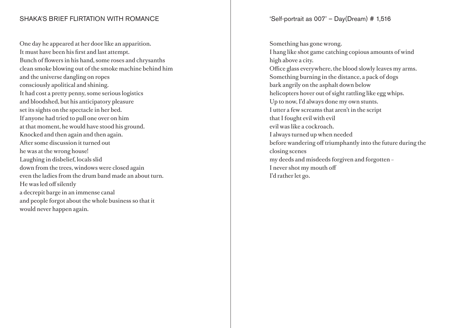#### SHAKA'S BRIFF FLIRTATION WITH ROMANCE

One day he appeared at her door like an apparition. It must have been his first and last attempt. Bunch of flowers in his hand, some roses and chrysanths clean smoke blowing out of the smoke machine behind him and the universe dangling on ropes consciously apolitical and shining. It had cost a pretty penny, some serious logistics and bloodshed, but his anticipatory pleasure set its sights on the spectacle in her bed. If anyone had tried to pull one over on him at that moment, he would have stood his ground. Knocked and then again and then again. After some discussion it turned out he was at the wrong house! Laughing in disbelief, locals slid down from the trees, windows were closed again even the ladies from the drum band made an about turn. He was led off silently a decrepit barge in an immense canal and people forgot about the whole business so that it would never happen again.

Something has gone wrong. I hang like shot game catching copious amounts of wind high above a city. Office glass everywhere, the blood slowly leaves my arms. Something burning in the distance, a pack of dogs bark angrily on the asphalt down below helicopters hover out of sight rattling like egg whips. Up to now, I'd always done my own stunts. I utter a few screams that aren't in the script that I fought evil with evil evil was like a cockroach. I always turned up when needed before wandering off triumphantly into the future during the closing scenes my deeds and misdeeds forgiven and forgotten – I never shot my mouth o I'd rather let go.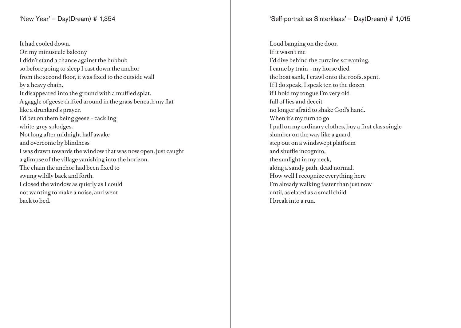'New Year' –  $Day(Dream)$  # 1,354

It had cooled down. On my minuscule balcony I didn't stand a chance against the hubbub so before going to sleep I cast down the anchor from the second floor, it was fixed to the outside wall by a heavy chain. It disappeared into the ground with a muffled splat. A gaggle of geese drifted around in the grass beneath my flat like a drunkard's prayer. I'd bet on them being geese – cackling white-grey splodges. Not long after midnight half awake and overcome by blindness I was drawn towards the window that was now open, just caught a glimpse of the village vanishing into the horizon. The chain the anchor had been fixed to swung wildly back and forth. I closed the window as quietly as I could not wanting to make a noise, and went back to bed.

Loud banging on the door. If it wasn't me I'd dive behind the curtains screaming. I came by train – my horse died the boat sank, I crawl onto the roofs, spent. If I do speak, I speak ten to the dozen if I hold my tongue I'm very old full of lies and deceit no longer afraid to shake God's hand. When it's my turn to go I pull on my ordinary clothes, buy a first class single slumber on the way like a guard step out on a windswept platform and shuffle incognito, the sunlight in my neck, along a sandy path, dead normal. How well I recognize everything here I'm already walking faster than just now until, as elated as a small child I break into a run.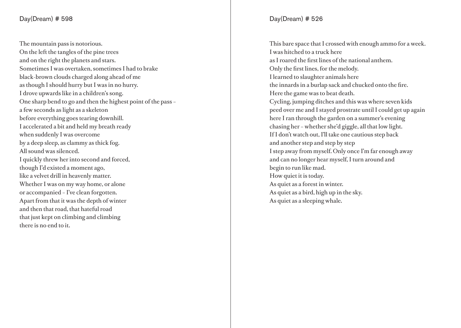#### Day(Dream) # 598

The mountain pass is notorious. On the left the tangles of the pine trees and on the right the planets and stars. Sometimes I was overtaken, sometimes I had to brake black-brown clouds charged along ahead of me as though I should hurry but I was in no hurry. I drove upwards like in a children's song. One sharp bend to go and then the highest point of the pass – a few seconds as light as a skeleton before everything goes tearing downhill. I accelerated a bit and held my breath ready when suddenly I was overcome by a deep sleep, as clammy as thick fog. All sound was silenced. I quickly threw her into second and forced, though I'd existed a moment ago, like a velvet drill in heavenly matter. Whether I was on my way home, or alone or accompanied – I've clean forgotten. Apart from that it was the depth of winter and then that road, that hateful road that just kept on climbing and climbing there is no end to it.

## Day(Dream) # 526

This bare space that I crossed with enough ammo for a week. I was hitched to a truck here as I roared the first lines of the national anthem. Only the first lines, for the melody. I learned to slaughter animals here the innards in a burlap sack and chucked onto the fire. Here the game was to beat death. Cycling, jumping ditches and this was where seven kids peed over me and I stayed prostrate until I could get up again here I ran through the garden on a summer's evening chasing her – whether she'd giggle, all that low light. If I don't watch out, I'll take one cautious step back and another step and step by step I step away from myself. Only once I'm far enough away and can no longer hear myself, I turn around and begin to run like mad. How quiet it is today. As quiet as a forest in winter. As quiet as a bird, high up in the sky. As quiet as a sleeping whale.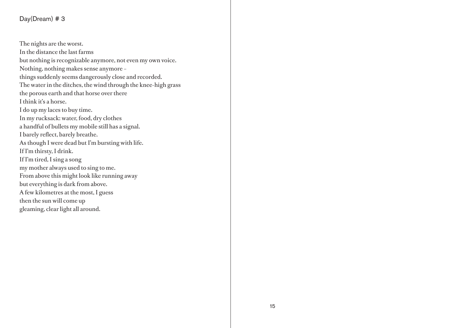#### Day(Dream) # 3

The nights are the worst. In the distance the last farms but nothing is recognizable anymore, not even my own voice. Nothing, nothing makes sense anymore – things suddenly seems dangerously close and recorded. The water in the ditches, the wind through the knee-high grass the porous earth and that horse over there I think it's a horse. I do up my laces to buy time. In my rucksack: water, food, dry clothes a handful of bullets my mobile still has a signal. I barely reflect, barely breathe. As though I were dead but I'm bursting with life. If I'm thirsty, I drink. If I'm tired, I sing a song my mother always used to sing to me. From above this might look like running away but everything is dark from above. A few kilometres at the most, I guess then the sun will come up gleaming, clear light all around.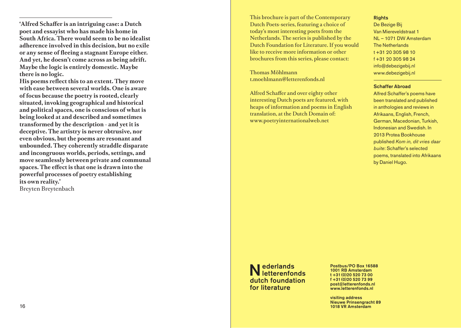'Alfred Schaffer is an intriguing case: a Dutch **poet and essayist who has made his home in South Africa. There would seem to be no idealist adherence involved in this decision, but no exile**  or any sense of fleeing a stagnant Europe either. **And yet, he doesn't come across as being adrift. Maybe the logic is entirely domestic. Maybe there is no logic.**

His poems reflect this to an extent. They move **with ease between several worlds. One is aware of focus because the poetry is rooted, clearly situated, invoking geographical and historical and political spaces, one is conscious of what is being looked at and described and sometimes transformed by the description - and yet it is deceptive. The artistry is never obtrusive, nor even obvious, but the poems are resonant and unbounded. They coherently straddle disparate and incongruous worlds, periods, settings, and move seamlessly between private and communal**  spaces. The effect is that one is drawn into the **powerful processes of poetry establishing its own reality.'** Breyten Breytenbach

This brochure is part of the Contemporary Dutch Poets-series, featuring a choice of today's most interesting poets from the Netherlands. The series is published by the Dutch Foundation for Literature. If you would like to receive more information or other brochures from this series, please contact:

Thomas Möhlmann t.moehlmann@letterenfonds.nl

Alfred Schaffer and over eighty other interesting Dutch poets are featured, with heaps of information and poems in English translation, at the Dutch Domain of: www.poetryinternationalweb.net

#### Rights

De Bezige Bij Van Miereveldstraat 1 NL – 1071 DW Amsterdam The Netherlands t +31 20 305 98 10  $f + 31$  20 305 98 24 info@debezigebij.nl www.debezigebij.nl

#### Schaffer Abroad

Alfred Schaffer's poems have been translated and published in anthologies and reviews in Afrikaans, English, French, German, Macedonian, Turkish, Indonesian and Swedish. In 2013 Protea Bookhouse published *Kom in, dit vries daar buite*: Schaffer's selected poems, translated into Afrikaans by Daniel Hugo.

ederlands letterenfonds dutch foundation for literature

1001 RB Amsterdam t +31 (0)20 520 73 00 f +31 (0)20 520 73 99 post@letterenfonds.nl www.letterenfonds.nl

Postbus /PO Box 16588

visiting address Nieuwe Prinsengracht 89 1018 VR Amsterdam